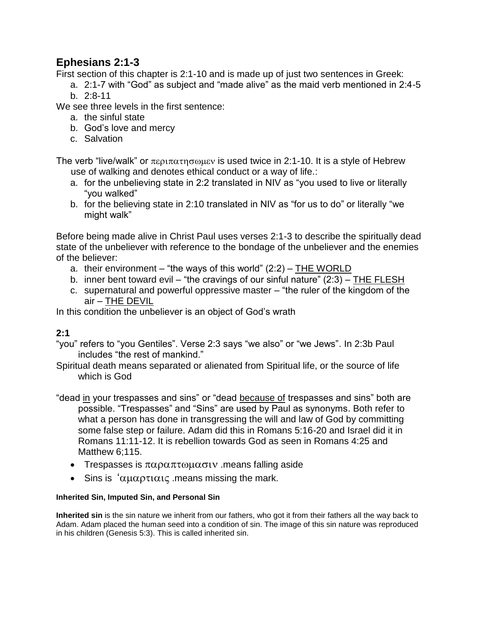## **Ephesians 2:1-3**

First section of this chapter is 2:1-10 and is made up of just two sentences in Greek:

- a. 2:1-7 with "God" as subject and "made alive" as the maid verb mentioned in 2:4-5
- b. 2:8-11

We see three levels in the first sentence:

- a. the sinful state
- b. God's love and mercy
- c. Salvation

The verb "live/walk" or περιπατησωμεν is used twice in 2:1-10. It is a style of Hebrew use of walking and denotes ethical conduct or a way of life.:

- a. for the unbelieving state in 2:2 translated in NIV as "you used to live or literally "you walked"
- b. for the believing state in 2:10 translated in NIV as "for us to do" or literally "we might walk"

Before being made alive in Christ Paul uses verses 2:1-3 to describe the spiritually dead state of the unbeliever with reference to the bondage of the unbeliever and the enemies of the believer:

- a. their environment "the ways of this world"  $(2:2)$  THE WORLD
- b. inner bent toward evil "the cravings of our sinful nature" (2:3) THE FLESH
- c. supernatural and powerful oppressive master "the ruler of the kingdom of the air – THE DEVIL

In this condition the unbeliever is an object of God's wrath

## **2:1**

"you" refers to "you Gentiles". Verse 2:3 says "we also" or "we Jews". In 2:3b Paul includes "the rest of mankind."

Spiritual death means separated or alienated from Spiritual life, or the source of life which is God

"dead in your trespasses and sins" or "dead because of trespasses and sins" both are possible. "Trespasses" and "Sins" are used by Paul as synonyms. Both refer to what a person has done in transgressing the will and law of God by committing some false step or failure. Adam did this in Romans 5:16-20 and Israel did it in Romans 11:11-12. It is rebellion towards God as seen in Romans 4:25 and Matthew 6:115.

- Trespasses is  $\pi \alpha \rho \alpha \pi \tau \omega \mu \alpha \sigma \nu$ . means falling aside
- Sins is ' $\alpha\mu\alpha\rho\tau\iota\alpha\iota\zeta$  means missing the mark.

## **Inherited Sin, Imputed Sin, and Personal Sin**

**Inherited sin** is the sin nature we inherit from our fathers, who got it from their fathers all the way back to Adam. Adam placed the human seed into a condition of sin. The image of this sin nature was reproduced in his children (Genesis 5:3). This is called inherited sin.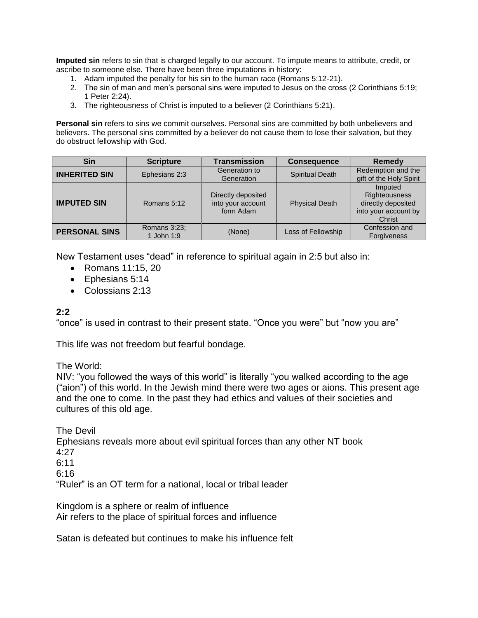**Imputed sin** refers to sin that is charged legally to our account. To impute means to attribute, credit, or ascribe to someone else. There have been three imputations in history:

- 1. Adam imputed the penalty for his sin to the human race (Romans 5:12-21).
- 2. The sin of man and men's personal sins were imputed to Jesus on the cross (2 Corinthians 5:19; 1 Peter 2:24).
- 3. The righteousness of Christ is imputed to a believer (2 Corinthians 5:21).

**Personal sin** refers to sins we commit ourselves. Personal sins are committed by both unbelievers and believers. The personal sins committed by a believer do not cause them to lose their salvation, but they do obstruct fellowship with God.

| <b>Sin</b>           | <b>Scripture</b>           | <b>Transmission</b>                                  | <b>Consequence</b>     | Remedy                                                                           |
|----------------------|----------------------------|------------------------------------------------------|------------------------|----------------------------------------------------------------------------------|
| <b>INHERITED SIN</b> | Ephesians 2:3              | Generation to<br>Generation                          | <b>Spiritual Death</b> | Redemption and the<br>gift of the Holy Spirit                                    |
| <b>IMPUTED SIN</b>   | Romans 5:12                | Directly deposited<br>into your account<br>form Adam | <b>Physical Death</b>  | Imputed<br>Righteousness<br>directly deposited<br>into your account by<br>Christ |
| <b>PERSONAL SINS</b> | Romans 3:23;<br>1 John 1:9 | (None)                                               | Loss of Fellowship     | Confession and<br>Forgiveness                                                    |

New Testament uses "dead" in reference to spiritual again in 2:5 but also in:

- Romans 11:15, 20
- Ephesians 5:14
- Colossians 2:13

## **2:2**

"once" is used in contrast to their present state. "Once you were" but "now you are"

This life was not freedom but fearful bondage.

The World:

NIV: "you followed the ways of this world" is literally "you walked according to the age ("aion") of this world. In the Jewish mind there were two ages or aions. This present age and the one to come. In the past they had ethics and values of their societies and cultures of this old age.

The Devil Ephesians reveals more about evil spiritual forces than any other NT book 4:27 6:11 6:16 "Ruler" is an OT term for a national, local or tribal leader

Kingdom is a sphere or realm of influence Air refers to the place of spiritual forces and influence

Satan is defeated but continues to make his influence felt